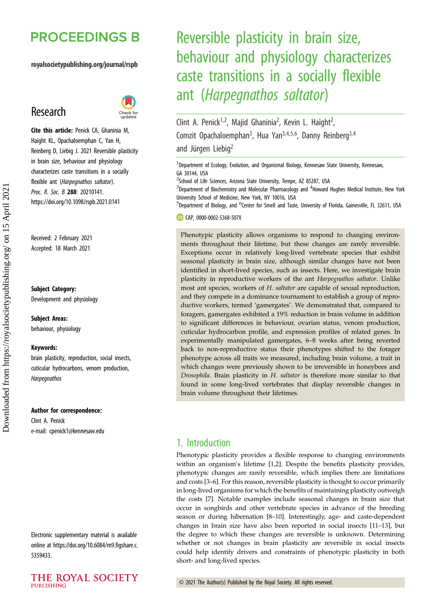## **PROCEEDINGS B**

royalsocietypublishing.org/journal/rspb

## Research



Cite this article: Penick CA, Ghaninia M, Haight KL, Opachaloemphan C, Yan H, Reinberg D, Liebig J. 2021 Reversible plasticity in brain size, behaviour and physiology characterizes caste transitions in a socially flexible ant (Harpegnathos saltator). Proc. R. Soc. B 288: 20210141. https://doi.org/10.1098/rspb.2021.0141

Received: 2 February 2021 Accepted: 18 March 2021

#### Subject Category:

Development and physiology

#### Subject Areas:

behaviour, physiology

#### Keywords:

brain plasticity, reproduction, social insects, cuticular hydrocarbons, venom production, Harpegnathos

#### Author for correspondence:

Clint A. Penick e-mail: [cpenick1@kennesaw.edu](mailto:cpenick1@kennesaw.edu)

Electronic supplementary material is available online at [https://doi.org/10.6084/m9.figshare.c.](https://doi.org/10.6084/m9.figshare.c.5359433) [5359433.](https://doi.org/10.6084/m9.figshare.c.5359433)

# Reversible plasticity in brain size, behaviour and physiology characterizes caste transitions in a socially flexible ant (Harpegnathos saltator)

Clint A. Penick<sup>1,2</sup>, Majid Ghaninia<sup>2</sup>, Kevin L. Haight<sup>2</sup> .<br>, Comzit Opachaloemphan<sup>3</sup>, Hua Yan<sup>3,4,5,6</sup>, Danny Reinberg<sup>3,4</sup> and Jürgen Liebig<sup>2</sup>

<sup>1</sup>Department of Ecology, Evolution, and Organismal Biology, Kennesaw State University, Kennesaw, GA 30144, USA

<sup>2</sup>School of Life Sciences, Arizona State University, Tempe, AZ 85287, USA

 $3$ Department of Biochemistry and Molecular Pharmacology and  $4$ Howard Hughes Medical Institute, New York University School of Medicine, New York, NY 10016, USA

<sup>5</sup>Department of Biology, and <sup>6</sup>Center for Smell and Taste, University of Florida, Gainesville, FL 32611, USA

CD CAP, [0000-0002-5368-507X](http://orcid.org/0000-0002-5368-507X)

Phenotypic plasticity allows organisms to respond to changing environments throughout their lifetime, but these changes are rarely reversible. Exceptions occur in relatively long-lived vertebrate species that exhibit seasonal plasticity in brain size, although similar changes have not been identified in short-lived species, such as insects. Here, we investigate brain plasticity in reproductive workers of the ant Harpegnathos saltator. Unlike most ant species, workers of H. saltator are capable of sexual reproduction, and they compete in a dominance tournament to establish a group of reproductive workers, termed 'gamergates'. We demonstrated that, compared to foragers, gamergates exhibited a 19% reduction in brain volume in addition to significant differences in behaviour, ovarian status, venom production, cuticular hydrocarbon profile, and expression profiles of related genes. In experimentally manipulated gamergates, 6–8 weeks after being reverted back to non-reproductive status their phenotypes shifted to the forager phenotype across all traits we measured, including brain volume, a trait in which changes were previously shown to be irreversible in honeybees and Drosophila. Brain plasticity in H. saltator is therefore more similar to that found in some long-lived vertebrates that display reversible changes in brain volume throughout their lifetimes.

## 1. Introduction

Phenotypic plasticity provides a flexible response to changing environments within an organism's lifetime [[1,2\]](#page-7-0). Despite the benefits plasticity provides, phenotypic changes are rarely reversible, which implies there are limitations and costs [[3](#page-7-0)–[6](#page-7-0)]. For this reason, reversible plasticity is thought to occur primarily in long-lived organisms for which the benefits of maintaining plasticity outweigh the costs [[7](#page-7-0)]. Notable examples include seasonal changes in brain size that occur in songbirds and other vertebrate species in advance of the breeding season or during hibernation [\[8](#page-7-0)–[10\]](#page-7-0). Interestingly, age- and caste-dependent changes in brain size have also been reported in social insects [\[11](#page-7-0)–[13](#page-7-0)], but the degree to which these changes are reversible is unknown. Determining whether or not changes in brain plasticity are reversible in social insects could help identify drivers and constraints of phenotypic plasticity in both short- and long-lived species.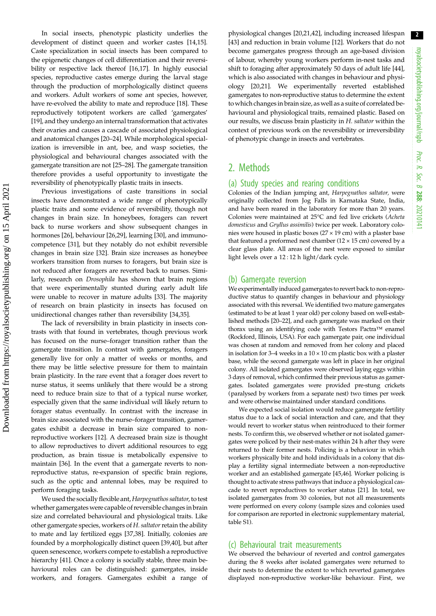In social insects, phenotypic plasticity underlies the development of distinct queen and worker castes [\[14,15](#page-7-0)]. Caste specialization in social insects has been compared to the epigenetic changes of cell differentiation and their reversibility or respective lack thereof [[16](#page-7-0),[17\]](#page-7-0). In highly eusocial species, reproductive castes emerge during the larval stage through the production of morphologically distinct queens and workers. Adult workers of some ant species, however, have re-evolved the ability to mate and reproduce [\[18](#page-7-0)]. These reproductively totipotent workers are called 'gamergates' [\[19](#page-7-0)], and they undergo an internal transformation that activates their ovaries and causes a cascade of associated physiological and anatomical changes [[20](#page-7-0)–[24\]](#page-7-0). While morphological specialization is irreversible in ant, bee, and wasp societies, the physiological and behavioural changes associated with the gamergate transition are not [\[25](#page-7-0)–[28](#page-7-0)]. The gamergate transition therefore provides a useful opportunity to investigate the reversibility of phenotypically plastic traits in insects.

Previous investigations of caste transitions in social insects have demonstrated a wide range of phenotypically plastic traits and some evidence of reversibility, though not changes in brain size. In honeybees, foragers can revert back to nurse workers and show subsequent changes in hormones [[26\]](#page-7-0), behaviour [\[26,29](#page-7-0)], learning [\[30](#page-7-0)], and immunocompetence [[31\]](#page-7-0), but they notably do not exhibit reversible changes in brain size [\[32](#page-7-0)]. Brain size increases as honeybee workers transition from nurses to foragers, but brain size is not reduced after foragers are reverted back to nurses. Similarly, research on Drosophila has shown that brain regions that were experimentally stunted during early adult life were unable to recover in mature adults [[33\]](#page-7-0). The majority of research on brain plasticity in insects has focused on unidirectional changes rather than reversibility [[34,35\]](#page-7-0).

The lack of reversibility in brain plasticity in insects contrasts with that found in vertebrates, though previous work has focused on the nurse–forager transition rather than the gamergate transition. In contrast with gamergates, foragers generally live for only a matter of weeks or months, and there may be little selective pressure for them to maintain brain plasticity. In the rare event that a forager does revert to nurse status, it seems unlikely that there would be a strong need to reduce brain size to that of a typical nurse worker, especially given that the same individual will likely return to forager status eventually. In contrast with the increase in brain size associated with the nurse–forager transition, gamergates exhibit a decrease in brain size compared to nonreproductive workers [\[12\]](#page-7-0). A decreased brain size is thought to allow reproductives to divert additional resources to egg production, as brain tissue is metabolically expensive to maintain [[36\]](#page-7-0). In the event that a gamergate reverts to nonreproductive status, re-expansion of specific brain regions, such as the optic and antennal lobes, may be required to perform foraging tasks.

We used the socially flexible ant, Harpegnathos saltator, to test whether gamergates were capable of reversible changes in brain size and correlated behavioural and physiological traits. Like other gamergate species, workers of  $H$ . saltator retain the ability to mate and lay fertilized eggs [[37,38\]](#page-7-0). Initially, colonies are founded by a morphologically distinct queen [\[39,40](#page-7-0)], but after queen senescence, workers compete to establish a reproductive hierarchy [[41](#page-7-0)]. Once a colony is socially stable, three main behavioural roles can be distinguished: gamergates, inside workers, and foragers. Gamergates exhibit a range of physiological changes [\[20](#page-7-0),[21](#page-7-0),[42\]](#page-7-0), including increased lifespan [[43\]](#page-7-0) and reduction in brain volume [\[12](#page-7-0)]. Workers that do not become gamergates progress through an age-based division of labour, whereby young workers perform in-nest tasks and shift to foraging after approximately 50 days of adult life [[44\]](#page-8-0), which is also associated with changes in behaviour and physiology [[20](#page-7-0),[21\]](#page-7-0). We experimentally reverted established gamergates to non-reproductive status to determine the extent towhich changes in brain size, as well as a suite of correlated behavioural and physiological traits, remained plastic. Based on our results, we discuss brain plasticity in H. saltator within the context of previous work on the reversibility or irreversibility of phenotypic change in insects and vertebrates.

## 2. Methods

#### (a) Study species and rearing conditions

Colonies of the Indian jumping ant, Harpegnathos saltator, were originally collected from Jog Falls in Karnataka State, India, and have been reared in the laboratory for more than 20 years. Colonies were maintained at 25°C and fed live crickets (Acheta domesticus and Gryllus assimilis) twice per week. Laboratory colonies were housed in plastic boxes (27 × 19 cm) with a plaster base that featured a preformed nest chamber  $(12 \times 15$  cm) covered by a clear glass plate. All areas of the nest were exposed to similar light levels over a 12 : 12 h light/dark cycle.

#### (b) Gamergate reversion

We experimentally induced gamergates to revert back to non-reproductive status to quantify changes in behaviour and physiology associated with this reversal. We identified two mature gamergates (estimated to be at least 1 year old) per colony based on well-established methods [[20](#page-7-0)–[22\]](#page-7-0), and each gamergate was marked on their thorax using an identifying code with Testors Pactra™ enamel (Rockford, Illinois, USA). For each gamergate pair, one individual was chosen at random and removed from her colony and placed in isolation for 3–4 weeks in a  $10 \times 10$  cm plastic box with a plaster base, while the second gamergate was left in place in her original colony. All isolated gamergates were observed laying eggs within 3 days of removal, which confirmed their previous status as gamergates. Isolated gamergates were provided pre-stung crickets (paralysed by workers from a separate nest) two times per week and were otherwise maintained under standard conditions.

We expected social isolation would reduce gamergate fertility status due to a lack of social interaction and care, and that they would revert to worker status when reintroduced to their former nests. To confirm this, we observed whether or not isolated gamergates were policed by their nest-mates within 24 h after they were returned to their former nests. Policing is a behaviour in which workers physically bite and hold individuals in a colony that display a fertility signal intermediate between a non-reproductive worker and an established gamergate [[45,46](#page-8-0)]. Worker policing is thought to activate stress pathways that induce a physiological cascade to revert reproductives to worker status [\[21\]](#page-7-0). In total, we isolated gamergates from 30 colonies, but not all measurements were performed on every colony (sample sizes and colonies used for comparison are reported in electronic supplementary material, table S1).

#### (c) Behavioural trait measurements

We observed the behaviour of reverted and control gamergates during the 8 weeks after isolated gamergates were returned to their nests to determine the extent to which reverted gamergates displayed non-reproductive worker-like behaviour. First, we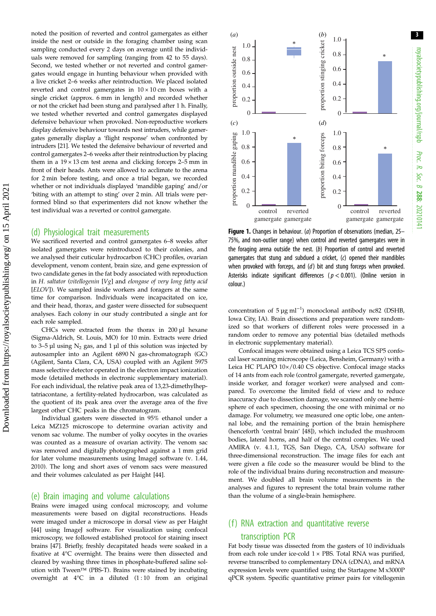<span id="page-2-0"></span>noted the position of reverted and control gamergates as either inside the nest or outside in the foraging chamber using scan sampling conducted every 2 days on average until the individuals were removed for sampling (ranging from 42 to 55 days). Second, we tested whether or not reverted and control gamergates would engage in hunting behaviour when provided with a live cricket 2–6 weeks after reintroduction. We placed isolated reverted and control gamergates in  $10 \times 10$  cm boxes with a single cricket (approx. 6 mm in length) and recorded whether or not the cricket had been stung and paralysed after 1 h. Finally, we tested whether reverted and control gamergates displayed defensive behaviour when provoked. Non-reproductive workers display defensive behaviour towards nest intruders, while gamergates generally display a 'flight response' when confronted by intruders [[21](#page-7-0)]. We tested the defensive behaviour of reverted and control gamergates 2–6 weeks after their reintroduction by placing them in a  $19 \times 13$  cm test arena and clicking forceps 2–5 mm in front of their heads. Ants were allowed to acclimate to the arena for 2 min before testing, and once a trial began, we recorded whether or not individuals displayed 'mandible gaping' and/or 'biting with an attempt to sting' over 2 min. All trials were performed blind so that experimenters did not know whether the test individual was a reverted or control gamergate.

#### (d) Physiological trait measurements

We sacrificed reverted and control gamergates 6–8 weeks after isolated gamergates were reintroduced to their colonies, and we analysed their cuticular hydrocarbon (CHC) profiles, ovarian development, venom content, brain size, and gene expression of two candidate genes in the fat body associated with reproduction in H. saltator (vitellogenin [Vg] and elongase of very long fatty acid [ELOV]). We sampled inside workers and foragers at the same time for comparison. Individuals were incapacitated on ice, and their head, thorax, and gaster were dissected for subsequent analyses. Each colony in our study contributed a single ant for each role sampled.

CHCs were extracted from the thorax in 200 µl hexane (Sigma-Aldrich, St. Louis, MO) for 10 min. Extracts were dried to 3–5 µl using  $N_2$  gas, and 1 µl of this solution was injected by autosampler into an Agilent 6890 N gas-chromatograph (GC) (Agilent, Santa Clara, CA, USA) coupled with an Agilent 5975 mass selective detector operated in the electron impact ionization mode (detailed methods in electronic supplementary material). For each individual, the relative peak area of 13,23-dimethylheptatriacontane, a fertility-related hydrocarbon, was calculated as the quotient of its peak area over the average area of the five largest other CHC peaks in the chromatogram.

Individual gasters were dissected in 95% ethanol under a Leica MZ125 microscope to determine ovarian activity and venom sac volume. The number of yolky oocytes in the ovaries was counted as a measure of ovarian activity. The venom sac was removed and digitally photographed against a 1 mm grid for later volume measurements using ImageJ software (v. 1.44, 2010). The long and short axes of venom sacs were measured and their volumes calculated as per Haight [\[44\]](#page-8-0).

#### (e) Brain imaging and volume calculations

Brains were imaged using confocal microscopy, and volume measurements were based on digital reconstructions. Heads were imaged under a microscope in dorsal view as per Haight [\[44\]](#page-8-0) using ImageJ software. For visualization using confocal microscopy, we followed established protocol for staining insect brains [\[47](#page-8-0)]. Briefly, freshly decapitated heads were soaked in a fixative at 4°C overnight. The brains were then dissected and cleared by washing three times in phosphate-buffered saline solution with Tween™ (PBS-T). Brains were stained by incubating overnight at 4°C in a diluted (1 : 10 from an original



royalsocietypublishing.org/journal/rspb

royalsocietypublishing.org/journal/rspb

3

Proc. R. Soc. $\sigma$ 

288: 20210141

Figure 1. Changes in behaviour. (a) Proportion of observations (median, 25– 75%, and non-outlier range) when control and reverted gamergates were in the foraging arena outside the nest. (b) Proportion of control and reverted gamergates that stung and subdued a cricket, (c) opened their mandibles when provoked with forceps, and (d) bit and stung forceps when provoked. Asterisks indicate significant differences ( $p < 0.001$ ). (Online version in colour.)

concentration of  $5 \mu g$  ml<sup>-1</sup>) monoclonal antibody nc82 (DSHB, Iowa City, IA). Brain dissections and preparation were randomized so that workers of different roles were processed in a random order to remove any potential bias (detailed methods in electronic supplementary material).

Confocal images were obtained using a Leica TCS SP5 confocal laser scanning microscope (Leica, Bensheim, Germany) with a Leica HC PLAPO 10×/0.40 CS objective. Confocal image stacks of 14 ants from each role (control gamergate, reverted gamergate, inside worker, and forager worker) were analysed and compared. To overcome the limited field of view and to reduce inaccuracy due to dissection damage, we scanned only one hemisphere of each specimen, choosing the one with minimal or no damage. For volumetry, we measured one optic lobe, one antennal lobe, and the remaining portion of the brain hemisphere (henceforth 'central brain' [[48](#page-8-0)]), which included the mushroom bodies, lateral horns, and half of the central complex. We used AMIRA (v. 4.1.1, TGS, San Diego, CA, USA) software for three-dimensional reconstruction. The image files for each ant were given a file code so the measurer would be blind to the role of the individual brains during reconstruction and measurement. We doubled all brain volume measurements in the analyses and figures to represent the total brain volume rather than the volume of a single-brain hemisphere.

## (f) RNA extraction and quantitative reverse transcription PCR

Fat body tissue was dissected from the gasters of 10 individuals from each role under ice-cold  $1 \times$  PBS. Total RNA was purified, reverse transcribed to complementary DNA (cDNA), and mRNA expression levels were quantified using the Startagene M x3000P qPCR system. Specific quantitative primer pairs for vitellogenin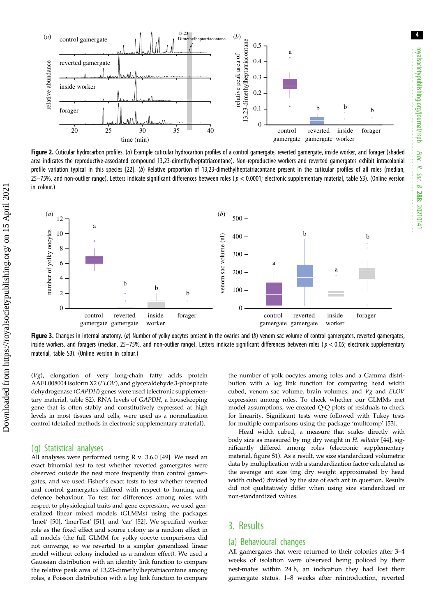<span id="page-3-0"></span>

Figure 2. Cuticular hydrocarbon profiles. (a) Example cuticular hydrocarbon profiles of a control gamergate, reverted gamergate, inside worker, and forager (shaded area indicates the reproductive-associated compound 13,23-dimethylheptatriacontane). Non-reproductive workers and reverted gamergates exhibit intracolonial profile variation typical in this species [\[22\]](#page-7-0). (b) Relative proportion of 13,23-dimethylheptatriacontane present in the cuticular profiles of all roles (median, 25–75%, and non-outlier range). Letters indicate significant differences between roles ( $p < 0.0001$ ; electronic supplementary material, table S3). (Online version in colour.)



Figure 3. Changes in internal anatomy. (a) Number of yolky oocytes present in the ovaries and (b) venom sac volume of control gamergates, reverted gamergates, inside workers, and foragers (median, 25–75%, and non-outlier range). Letters indicate significant differences between roles ( $p < 0.05$ ; electronic supplementary material, table S3). (Online version in colour.)

(Vg), elongation of very long-chain fatty acids protein AAEL008004 isoform X2 (ELOV), and glyceraldehyde 3-phosphate dehydrogenase (GAPDH) genes were used (electronic supplementary material, table S2). RNA levels of GAPDH, a housekeeping gene that is often stably and constitutively expressed at high levels in most tissues and cells, were used as a normalization control (detailed methods in electronic supplementary material).

#### (g) Statistical analyses

All analyses were performed using R v. 3.6.0 [\[49\]](#page-8-0). We used an exact binomial test to test whether reverted gamergates were observed outside the nest more frequently than control gamergates, and we used Fisher's exact tests to test whether reverted and control gamergates differed with respect to hunting and defence behaviour. To test for differences among roles with respect to physiological traits and gene expression, we used generalized linear mixed models (GLMMs) using the packages 'lme4' [\[50\]](#page-8-0), 'lmerTest' [\[51\]](#page-8-0), and 'car' [[52](#page-8-0)]. We specified worker role as the fixed effect and source colony as a random effect in all models (the full GLMM for yolky oocyte comparisons did not converge, so we reverted to a simpler generalized linear model without colony included as a random effect). We used a Gaussian distribution with an identity link function to compare the relative peak area of 13,23-dimethylheptatriacontane among roles, a Poisson distribution with a log link function to compare the number of yolk oocytes among roles and a Gamma distribution with a log link function for comparing head width cubed, venom sac volume, brain volumes, and  $Vg$  and  $ELOV$ expression among roles. To check whether our GLMMs met model assumptions, we created Q-Q plots of residuals to check for linearity. Significant tests were followed with Tukey tests for multiple comparisons using the package 'multcomp' [\[53\]](#page-8-0).

Head width cubed, a measure that scales directly with body size as measured by mg dry weight in H. saltator [\[44\]](#page-8-0), significantly differed among roles (electronic supplementary material, figure S1). As a result, we size standardized volumetric data by multiplication with a standardization factor calculated as the average ant size (mg dry weight approximated by head width cubed) divided by the size of each ant in question. Results did not qualitatively differ when using size standardized or non-standardized values.

## 3. Results

#### (a) Behavioural changes

All gamergates that were returned to their colonies after 3–4 weeks of isolation were observed being policed by their nest-mates within 24 h, an indication they had lost their gamergate status. 1–8 weeks after reintroduction, reverted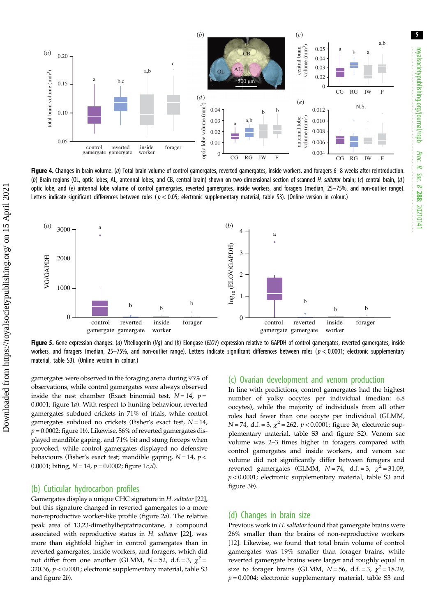<span id="page-4-0"></span>

Figure 4. Changes in brain volume. (a) Total brain volume of control gamergates, reverted gamergates, inside workers, and foragers 6-8 weeks after reintroduction. (b) Brain regions (OL, optic lobes; AL, antennal lobes; and CB, central brain) shown on two-dimensional section of scanned H. saltator brain; (c) central brain, (d) optic lobe, and (e) antennal lobe volume of control gamergates, reverted gamergates, inside workers, and foragers (median, 25–75%, and non-outlier range). Letters indicate significant differences between roles ( $p < 0.05$ ; electronic supplementary material, table S3). (Online version in colour.)



Figure 5. Gene expression changes. (a) Vitellogenin (Va) and (b) Elongase (ELOV) expression relative to GAPDH of control gamergates, reverted gamergates, inside workers, and foragers (median, 25–75%, and non-outlier range). Letters indicate significant differences between roles ( $p < 0.0001$ ; electronic supplementary material, table S3). (Online version in colour.)

gamergates were observed in the foraging arena during 93% of observations, while control gamergates were always observed inside the nest chamber (Exact binomial test,  $N = 14$ ,  $p =$ 0.0001; [figure 1](#page-2-0)a). With respect to hunting behaviour, reverted gamergates subdued crickets in 71% of trials, while control gamergates subdued no crickets (Fisher's exact test,  $N = 14$ ,  $p = 0.0002$ ; [figure 1](#page-2-0)b). Likewise, 86% of reverted gamergates displayed mandible gaping, and 71% bit and stung forceps when provoked, while control gamergates displayed no defensive behaviours (Fisher's exact test; mandible gaping,  $N = 14$ ,  $p <$ 0.0001; biting,  $N = 14$ ,  $p = 0.0002$ ; figure  $1c/d$ ).

#### (b) Cuticular hydrocarbon profiles

Gamergates display a unique CHC signature in H. saltator [\[22](#page-7-0)], but this signature changed in reverted gamergates to a more non-reproductive worker-like profile [\(figure 2](#page-3-0)a). The relative peak area of 13,23-dimethylheptatriacontane, a compound associated with reproductive status in H. saltator [[22](#page-7-0)], was more than eightfold higher in control gamergates than in reverted gamergates, inside workers, and foragers, which did not differ from one another (GLMM,  $N = 52$ , d.f. = 3,  $\chi^2$  = 320.36, p < 0.0001; electronic supplementary material, table S3 and [figure 2](#page-3-0)b).

#### (c) Ovarian development and venom production

In line with predictions, control gamergates had the highest number of yolky oocytes per individual (median: 6.8 oocytes), while the majority of individuals from all other roles had fewer than one oocyte per individual (GLMM,  $N = 74$ , d.f. = 3,  $\chi^2 = 262$ ,  $p < 0.0001$ ; [figure 3](#page-3-0)*a*, electronic supplementary material, table S3 and figure S2). Venom sac volume was 2–3 times higher in foragers compared with control gamergates and inside workers, and venom sac volume did not significantly differ between foragers and reverted gamergates (GLMM,  $N = 74$ , d.f. = 3,  $\chi^2 = 31.09$ ,  $p < 0.0001$ ; electronic supplementary material, table S3 and [figure 3](#page-3-0)b).

#### (d) Changes in brain size

Previous work in H. saltator found that gamergate brains were 26% smaller than the brains of non-reproductive workers [[12\]](#page-7-0). Likewise, we found that total brain volume of control gamergates was 19% smaller than forager brains, while reverted gamergate brains were larger and roughly equal in size to forager brains (GLMM,  $N = 56$ , d.f. = 3,  $\chi^2 = 18.29$ ,  $p = 0.0004$ ; electronic supplementary material, table S3 and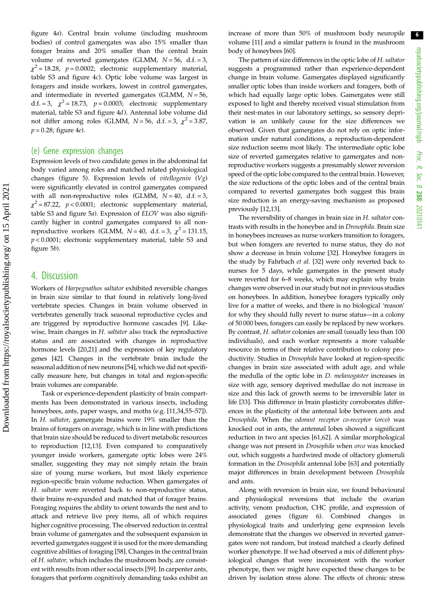[figure 4](#page-4-0)a). Central brain volume (including mushroom bodies) of control gamergates was also 15% smaller than forager brains and 20% smaller than the central brain volume of reverted gamergates (GLMM,  $N = 56$ , d.f. = 3,  $\chi^2$  = 18.28, p = 0.0002; electronic supplementary material, table S3 and [figure 4](#page-4-0)c). Optic lobe volume was largest in foragers and inside workers, lowest in control gamergates, and intermediate in reverted gamergates (GLMM,  $N = 56$ , d.f. = 3,  $\chi^2$  = 18.73,  $p = 0.0003$ ; electronic supplementary material, table S3 and [figure 4](#page-4-0)d). Antennal lobe volume did not differ among roles (GLMM,  $N = 56$ , d.f. = 3,  $\chi^2 = 3.87$ ,  $p = 0.28$ ; [figure 4](#page-4-0)e).

#### (e) Gene expression changes

Expression levels of two candidate genes in the abdominal fat body varied among roles and matched related physiological changes ([figure 5](#page-4-0)). Expression levels of *vitellogenin*  $(Vg)$ were significantly elevated in control gamergates compared with all non-reproductive roles (GLMM,  $N = 40$ , d.f. = 3,  $\chi^2$  = 87.22, p < 0.0001; electronic supplementary material, table S3 and [figure 5](#page-4-0)a). Expression of ELOV was also significantly higher in control gamergates compared to all nonreproductive workers (GLMM,  $N = 40$ , d.f. = 3,  $\chi^2 = 131.15$ ,  $p < 0.0001$ ; electronic supplementary material, table S3 and [figure 5](#page-4-0)b).

### 4. Discussion

Workers of Harpegnathos saltator exhibited reversible changes in brain size similar to that found in relatively long-lived vertebrate species. Changes in brain volume observed in vertebrates generally track seasonal reproductive cycles and are triggered by reproductive hormone cascades [[9](#page-7-0)]. Likewise, brain changes in H. saltator also track the reproductive status and are associated with changes in reproductive hormone levels [\[20,21](#page-7-0)] and the expression of key regulatory genes [\[42](#page-7-0)]. Changes in the vertebrate brain include the seasonal addition of new neurons [\[54](#page-8-0)], which we did not specifically measure here, but changes in total and region-specific brain volumes are comparable.

Task or experience-dependent plasticity of brain compartments has been demonstrated in various insects, including honeybees, ants, paper wasps, and moths (e.g. [\[11,34,](#page-7-0)[55](#page-8-0)–[57](#page-8-0)]). In H. saltator, gamergate brains were 19% smaller than the brains of foragers on average, which is in line with predictions that brain size should be reduced to divert metabolic resources to reproduction [[12,13\]](#page-7-0). Even compared to comparatively younger inside workers, gamergate optic lobes were 24% smaller, suggesting they may not simply retain the brain size of young nurse workers, but most likely experience region-specific brain volume reduction. When gamergates of H. saltator were reverted back to non-reproductive status, their brains re-expanded and matched that of forager brains. Foraging requires the ability to orient towards the nest and to attack and retrieve live prey items, all of which requires higher cognitive processing. The observed reduction in central brain volume of gamergates and the subsequent expansion in reverted gamergates suggest it is used for the more demanding cognitive abilities of foraging [[58\]](#page-8-0). Changes in the central brain of H. saltator, which includes the mushroom body, are consistent with results from other social insects [[59\]](#page-8-0). In carpenter ants, foragers that perform cognitively demanding tasks exhibit an increase of more than 50% of mushroom body neuropile volume [\[11\]](#page-7-0) and a similar pattern is found in the mushroom body of honeybees [[60\]](#page-8-0).

The pattern of size differences in the optic lobe of H. saltator suggests a programmed rather than experience-dependent change in brain volume. Gamergates displayed significantly smaller optic lobes than inside workers and foragers, both of which had equally large optic lobes. Gamergates were still exposed to light and thereby received visual stimulation from their nest-mates in our laboratory settings, so sensory deprivation is an unlikely cause for the size differences we observed. Given that gamergates do not rely on optic information under natural conditions, a reproduction-dependent size reduction seems most likely. The intermediate optic lobe size of reverted gamergates relative to gamergates and nonreproductive workers suggests a presumably slower reversion speed of the optic lobe compared to the central brain. However, the size reductions of the optic lobes and of the central brain compared to reverted gamergates both suggest this brain size reduction is an energy-saving mechanism as proposed previously [[12,13\]](#page-7-0).

The reversibility of changes in brain size in H. saltator contrasts with results in the honeybee and in Drosophila. Brain size in honeybees increases as nurse workers transition to foragers, but when foragers are reverted to nurse status, they do not show a decrease in brain volume [\[32](#page-7-0)]. Honeybee foragers in the study by Fahrbach et al. [[32\]](#page-7-0) were only reverted back to nurses for 5 days, while gamergates in the present study were reverted for 6–8 weeks, which may explain why brain changes were observed in our study but not in previous studies on honeybees. In addition, honeybee foragers typically only live for a matter of weeks, and there is no biological 'reason' for why they should fully revert to nurse status—in a colony of 50 000 bees, foragers can easily be replaced by new workers. By contrast, H. saltator colonies are small (usually less than 100 individuals), and each worker represents a more valuable resource in terms of their relative contribution to colony productivity. Studies in Drosophila have looked at region-specific changes in brain size associated with adult age, and while the medulla of the optic lobe in D. melanogaster increases in size with age, sensory deprived medullae do not increase in size and this lack of growth seems to be irreversible later in life [\[33](#page-7-0)]. This difference in brain plasticity corroborates differences in the plasticity of the antennal lobe between ants and Drosophila. When the odorant receptor co-receptor (orco) was knocked out in ants, the antennal lobes showed a significant reduction in two ant species [[61](#page-8-0),[62\]](#page-8-0). A similar morphological change was not present in Drosophila when orco was knocked out, which suggests a hardwired mode of olfactory glomeruli formation in the Drosophila antennal lobe [[63](#page-8-0)] and potentially major differences in brain development between Drosophila and ants.

Along with reversion in brain size, we found behavioural and physiological reversions that include the ovarian activity, venom production, CHC profile, and expression of associated genes [\(figure 6](#page-6-0)). Combined changes in physiological traits and underlying gene expression levels demonstrate that the changes we observed in reverted gamergates were not random, but instead matched a clearly defined worker phenotype. If we had observed a mix of different physiological changes that were inconsistent with the worker phenotype, then we might have expected these changes to be driven by isolation stress alone. The effects of chronic stress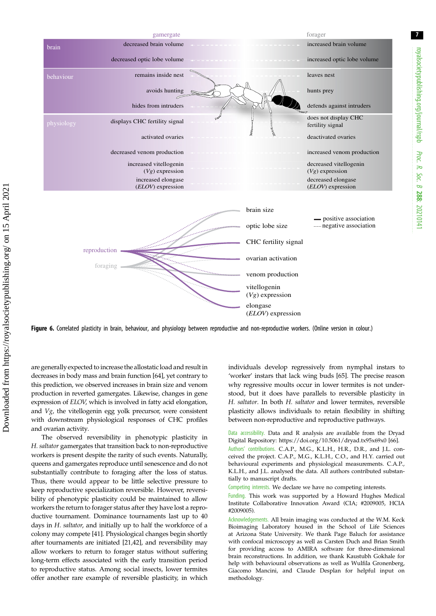<span id="page-6-0"></span>

Figure 6. Correlated plasticity in brain, behaviour, and physiology between reproductive and non-reproductive workers. (Online version in colour.)

are generally expected to increase the allostatic load and result in decreases in body mass and brain function [\[64](#page-8-0)], yet contrary to this prediction, we observed increases in brain size and venom production in reverted gamergates. Likewise, changes in gene expression of ELOV, which is involved in fatty acid elongation, and Vg, the vitellogenin egg yolk precursor, were consistent with downstream physiological responses of CHC profiles and ovarian activity.

The observed reversibility in phenotypic plasticity in H. saltator gamergates that transition back to non-reproductive workers is present despite the rarity of such events. Naturally, queens and gamergates reproduce until senescence and do not substantially contribute to foraging after the loss of status. Thus, there would appear to be little selective pressure to keep reproductive specialization reversible. However, reversibility of phenotypic plasticity could be maintained to allow workers the return to forager status after they have lost a reproductive tournament. Dominance tournaments last up to 40 days in H. saltator, and initially up to half the workforce of a colony may compete [\[41](#page-7-0)]. Physiological changes begin shortly after tournaments are initiated [\[21,42](#page-7-0)], and reversibility may allow workers to return to forager status without suffering long-term effects associated with the early transition period to reproductive status. Among social insects, lower termites offer another rare example of reversible plasticity, in which individuals develop regressively from nymphal instars to 'worker' instars that lack wing buds [\[65\]](#page-8-0). The precise reason why regressive moults occur in lower termites is not understood, but it does have parallels to reversible plasticity in H. saltator. In both H. saltator and lower termites, reversible plasticity allows individuals to retain flexibility in shifting between non-reproductive and reproductive pathways.

Data accessibility. Data and R analysis are available from the Dryad Digital Repository:<https://doi.org/10.5061/dryad.tx95x69x0> [\[66](#page-8-0)].

Authors' contributions. C.A.P., M.G., K.L.H., H.R., D.R., and J.L. conceived the project. C.A.P., M.G., K.L.H., C.O., and H.Y. carried out behavioural experiments and physiological measurements. C.A.P., K.L.H., and J.L. analysed the data. All authors contributed substantially to manuscript drafts.

Competing interests. We declare we have no competing interests.

Funding. This work was supported by a Howard Hughes Medical Institute Collaborative Innovation Award (CIA; #2009005, HCIA #2009005).

Acknowledgements. All brain imaging was conducted at the W.M. Keck Bioimaging Laboratory housed in the School of Life Sciences at Arizona State University. We thank Page Baluch for assistance with confocal microscopy as well as Carsten Duch and Brian Smith for providing access to AMIRA software for three-dimensional brain reconstructions. In addition, we thank Kaustubh Gokhale for help with behavioural observations as well as Wulfila Gronenberg, Giacomo Mancini, and Claude Desplan for helpful input on methodology.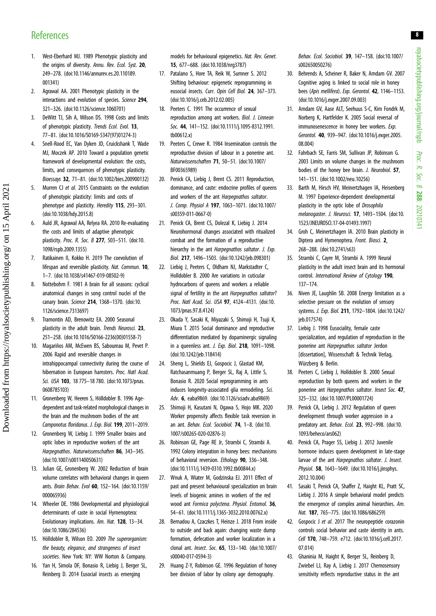## <span id="page-7-0"></span>**References**

- 1. West-Eberhard MJ. 1989 Phenotypic plasticity and the origins of diversity. Annu. Rev. Ecol. Syst. 20, 249–278. ([doi:10.1146/annurev.es.20.110189.](http://dx.doi.org/10.1146/annurev.es.20.110189.001341) [001341](http://dx.doi.org/10.1146/annurev.es.20.110189.001341))
- 2. Agrawal AA. 2001 Phenotypic plasticity in the interactions and evolution of species. Science 294, 321–326. ([doi:10.1126/science.1060701\)](http://dx.doi.org/10.1126/science.1060701)
- 3. DeWitt TJ, Sih A, Wilson DS. 1998 Costs and limits of phenotypic plasticity. Trends Ecol. Evol. 13, 77–81. [\(doi:10.1016/S0169-5347\(97\)01274-3](http://dx.doi.org/10.1016/S0169-5347(97)01274-3))
- 4. Snell-Rood EC, Van Dyken JD, Cruickshank T, Wade MJ, Moczek AP. 2010 Toward a population genetic framework of developmental evolution: the costs, limits, and consequences of phenotypic plasticity. Bioessays 32, 71–81. [\(doi:10.1002/bies.200900132\)](http://dx.doi.org/10.1002/bies.200900132)
- 5. Murren CJ et al. 2015 Constraints on the evolution of phenotypic plasticity: limits and costs of phenotype and plasticity. Heredity 115, 293–301. [\(doi:10.1038/hdy.2015.8](http://dx.doi.org/10.1038/hdy.2015.8))
- 6. Auld JR, Agrawal AA, Relyea RA. 2010 Re-evaluating the costs and limits of adaptive phenotypic plasticity. Proc. R. Soc. B 277, 503–511. ([doi:10.](http://dx.doi.org/10.1098/rspb.2009.1355) [1098/rspb.2009.1355](http://dx.doi.org/10.1098/rspb.2009.1355))
- 7. Ratikainen II, Kokko H. 2019 The coevolution of lifespan and reversible plasticity. Nat. Commun. 10, 1–7. [\(doi:10.1038/s41467-019-08502-9\)](http://dx.doi.org/10.1038/s41467-019-08502-9)
- 8. Nottebohm F. 1981 A brain for all seasons: cyclical anatomical changes in song control nuclei of the canary brain. Science 214, 1368–1370. ([doi:10.](http://dx.doi.org/10.1126/science.7313697) [1126/science.7313697\)](http://dx.doi.org/10.1126/science.7313697)
- 9. Tramontin AD, Brenowitz EA. 2000 Seasonal plasticity in the adult brain. Trends Neurosci. 23, 251–258. ([doi:10.1016/S0166-2236\(00\)01558-7\)](http://dx.doi.org/10.1016/S0166-2236(00)01558-7)
- 10. Magariños AM, McEwen BS, Saboureau M, Pevet P. 2006 Rapid and reversible changes in intrahippocampal connectivity during the course of hibernation in European hamsters. Proc. Natl Acad. Sci. USA 103, 18 775-18 780. [\(doi:10.1073/pnas.](http://dx.doi.org/10.1073/pnas.0608785103) [0608785103\)](http://dx.doi.org/10.1073/pnas.0608785103)
- 11. Gronenberg W, Heeren S, Hölldobler B. 1996 Agedependent and task-related morphological changes in the brain and the mushroom bodies of the ant Camponotus floridanus. J. Exp. Biol. 199, 2011–2019.
- 12. Gronenberg W, Liebig J. 1999 Smaller brains and optic lobes in reproductive workers of the ant Harpegnathos. Naturwissenschaften 86, 343–345. [\(doi:10.1007/s001140050631\)](http://dx.doi.org/10.1007/s001140050631)
- 13. Julian GE, Gronenberg W. 2002 Reduction of brain volume correlates with behavioral changes in queen ants. Brain Behav. Evol 60, 152–164. ([doi:10.1159/](http://dx.doi.org/10.1159/000065936) [000065936](http://dx.doi.org/10.1159/000065936))
- 14. Wheeler DE. 1986 Developmental and physiological determinants of caste in social Hymenoptera: Evolutionary implications. Am. Nat. 128, 13–34. [\(doi:10.1086/284536](http://dx.doi.org/10.1086/284536))
- 15. Hölldobler B, Wilson EO. 2009 The superorganism: the beauty, elegance, and strangeness of insect societies. New York: NY: WW Norton & Company.
- 16. Yan H, Simola DF, Bonasio R, Liebig J, Berger SL, Reinberg D. 2014 Eusocial insects as emerging

models for behavioural epigenetics. Nat. Rev. Genet. 15, 677–688. ([doi:10.1038/nrg3787](http://dx.doi.org/10.1038/nrg3787))

- 17. Patalano S, Hore TA, Reik W, Sumner S. 2012 Shifting behaviour: epigenetic reprogramming in eusocial insects. Curr. Opin Cell Biol. 24, 367–373. [\(doi:10.1016/j.ceb.2012.02.005\)](http://dx.doi.org/10.1016/j.ceb.2012.02.005)
- 18. Peeters C. 1991 The occurrence of sexual reproduction among ant workers. Biol. J. Linnean Soc. 44, 141–152. [\(doi:10.1111/j.1095-8312.1991.](http://dx.doi.org/10.1111/j.1095-8312.1991.tb00612.x) [tb00612.x](http://dx.doi.org/10.1111/j.1095-8312.1991.tb00612.x))
- 19. Peeters C, Crewe R. 1984 Insemination controls the reproductive division of labour in a ponerine ant. Naturwissenschaften 71, 50–51. [\(doi:10.1007/](http://dx.doi.org/10.1007/BF00365989) [BF00365989\)](http://dx.doi.org/10.1007/BF00365989)
- 20. Penick CA, Liebig J, Brent CS, 2011 Reproduction, dominance, and caste: endocrine profiles of queens and workers of the ant Harpegnathos saltator. J. Comp. Physiol A 197, 1063–1071. [\(doi:10.1007/](http://dx.doi.org/10.1007/s00359-011-0667-0) [s00359-011-0667-0\)](http://dx.doi.org/10.1007/s00359-011-0667-0)
- 21. Penick CA, Brent CS, Dolezal K, Liebig J. 2014 Neurohormonal changes associated with ritualized combat and the formation of a reproductive hierarchy in the ant *Harpeanathos saltator. J. Exp.* Biol. 217, 1496–1503. [\(doi:10.1242/jeb.098301\)](http://dx.doi.org/10.1242/jeb.098301)
- 22. Liebig J, Peeters C, Oldham NJ, Markstadter C, Holldobler B. 2000 Are variations in cuticular hydrocarbons of queens and workers a reliable signal of fertility in the ant *Harpegnathos saltator*? Proc. Natl Acad. Sci. USA 97, 4124–4131. ([doi:10.](http://dx.doi.org/10.1073/pnas.97.8.4124) [1073/pnas.97.8.4124](http://dx.doi.org/10.1073/pnas.97.8.4124))
- 23. Okada Y, Sasaki K, Miyazaki S, Shimoji H, Tsuji K, Miura T. 2015 Social dominance and reproductive differentiation mediated by dopaminergic signaling in a queenless ant. *J. Exp. Biol.* **218**, 1091-1098. [\(doi:10.1242/jeb.118414](http://dx.doi.org/10.1242/jeb.118414))
- 24. Sheng L, Shields EJ, Gospocic J, Glastad KM, Ratchasanmuang P, Berger SL, Raj A, Little S, Bonasio R. 2020 Social reprogramming in ants induces longevity-associated glia remodeling. Sci. Adv. 6, eaba9869. ([doi:10.1126/sciadv.aba9869\)](http://dx.doi.org/10.1126/sciadv.aba9869)
- 25. Shimoji H, Kasutani N, Ogawa S, Hojo MK. 2020 Worker propensity affects flexible task reversion in an ant. Behav. Ecol. Sociobiol. 74, 1–8. [\(doi:10.](http://dx.doi.org/10.1007/s00265-020-02876-3) [1007/s00265-020-02876-3\)](http://dx.doi.org/10.1007/s00265-020-02876-3)
- 26. Robinson GE, Page RE Jr, Strambi C, Strambi A. 1992 Colony integration in honey bees: mechanisms of behavioral reversion. Ethology 90, 336–348. [\(doi:10.1111/j.1439-0310.1992.tb00844.x\)](http://dx.doi.org/10.1111/j.1439-0310.1992.tb00844.x)
- 27. Wnuk A, Wiater M, Godzinska EJ. 2011 Effect of past and present behavioural specialization on brain levels of biogenic amines in workers of the red wood ant Formica polyctena. Physiol. Entomol. 36, 54–61. ([doi:10.1111/j.1365-3032.2010.00762.x\)](http://dx.doi.org/10.1111/j.1365-3032.2010.00762.x)
- 28. Bernadou A, Czaczkes T, Heinze J. 2018 From inside to outside and back again: changing waste dump formation, defecation and worker localization in a clonal ant. Insect. Soc. 65, 133–140. [\(doi:10.1007/](http://dx.doi.org/10.1007/s00040-017-0594-3) [s00040-017-0594-3\)](http://dx.doi.org/10.1007/s00040-017-0594-3)
- 29. Huang Z-Y, Robinson GE. 1996 Regulation of honey bee division of labor by colony age demography.

Behav. Ecol. Sociobiol. 39, 147–158. ([doi:10.1007/](http://dx.doi.org/10.1007/s002650050276) [s002650050276\)](http://dx.doi.org/10.1007/s002650050276)

- 30. Behrends A, Scheiner R, Baker N, Amdam GV. 2007 Cognitive aging is linked to social role in honey bees (Apis mellifera). Exp. Gerontol. 42, 1146-1153. ([doi:10.1016/j.exger.2007.09.003](http://dx.doi.org/10.1016/j.exger.2007.09.003))
- 31. Amdam GV, Aase ALT, Seehuus S-C, Kim Fondrk M, Norberg K, Hartfelder K. 2005 Social reversal of immunosenescence in honey bee workers. Exp. Gerontol. 40, 939–947. ([doi:10.1016/j.exger.2005.](http://dx.doi.org/10.1016/j.exger.2005.08.004) [08.004](http://dx.doi.org/10.1016/j.exger.2005.08.004))
- 32. Fahrbach SE, Farris SM, Sullivan JP, Robinson G. 2003 Limits on volume changes in the mushroom bodies of the honey bee brain. J. Neurobiol. 57, 141–151. [\(doi:10.1002/neu.10256\)](http://dx.doi.org/10.1002/neu.10256)
- 33. Barth M, Hirsch HV, Meinertzhagen IA, Heisenberg M. 1997 Experience-dependent developmental plasticity in the optic lobe of Drosophila melanogaster. J. Neurosci. 17, 1493–1504. ([doi:10.](http://dx.doi.org/10.1523/JNEUROSCI.17-04-01493.1997) [1523/JNEUROSCI.17-04-01493.1997\)](http://dx.doi.org/10.1523/JNEUROSCI.17-04-01493.1997)
- 34. Groh C, Meinertzhagen IA. 2010 Brain plasticity in Diptera and Hymenoptera. Front. Biosci. 2. 268–288. [\(doi:10.2741/s63](http://dx.doi.org/10.2741/s63))
- 35. Strambi C, Cayre M, Strambi A. 1999 Neural plasticity in the adult insect brain and its hormonal control. International Review of Cytology 190, 137–174.
- 36. Niven JE, Laughlin SB. 2008 Energy limitation as a selective pressure on the evolution of sensory systems. J. Exp. Biol. 211, 1792–1804. [\(doi:10.1242/](http://dx.doi.org/10.1242/jeb.017574) [jeb.017574](http://dx.doi.org/10.1242/jeb.017574))
- 37. Liebig J. 1998 Eusociality, female caste specialization, and regulation of reproduction in the ponerine ant Harpegnathos saltator Jerdon [dissertation], Wissenschaft & Technik Verlag, Würzberg & Berlin.
- 38. Peeters C, Liebig J, Holldobler B. 2000 Sexual reproduction by both queens and workers in the ponerine ant *Harpegnathos saltator*. *Insect Soc.* 47, 325–332. [\(doi:10.1007/PL00001724\)](http://dx.doi.org/10.1007/PL00001724)
- 39. Penick CA, Liebig J. 2012 Regulation of queen development through worker aggression in a predatory ant. Behav. Ecol. 23, 992-998. [\(doi:10.](http://dx.doi.org/10.1093/beheco/ars062) [1093/beheco/ars062\)](http://dx.doi.org/10.1093/beheco/ars062)
- 40. Penick CA, Prager SS, Liebig J. 2012 Juvenile hormone induces queen development in late-stage larvae of the ant Harpegnathos saltator. J. Insect. Physiol. 58, 1643-1649. ([doi:10.1016/j.jinsphys.](http://dx.doi.org/10.1016/j.jinsphys.2012.10.004) [2012.10.004](http://dx.doi.org/10.1016/j.jinsphys.2012.10.004))
- 41. Sasaki T, Penick CA, Shaffer Z, Haight KL, Pratt SC, Liebig J. 2016 A simple behavioral model predicts the emergence of complex animal hierarchies. Am. Nat. 187, 765–775. [\(doi:10.1086/686259](http://dx.doi.org/10.1086/686259))
- 42. Gospocic J et al. 2017 The neuropeptide corazonin controls social behavior and caste identity in ants. Cell 170, 748–759. e712. [\(doi:10.1016/j.cell.2017.](http://dx.doi.org/10.1016/j.cell.2017.07.014) [07.014](http://dx.doi.org/10.1016/j.cell.2017.07.014))
- 43. Ghaninia M, Haight K, Berger SL, Reinberg D, Zwiebel LJ, Ray A, Liebig J. 2017 Chemosensory sensitivity reflects reproductive status in the ant